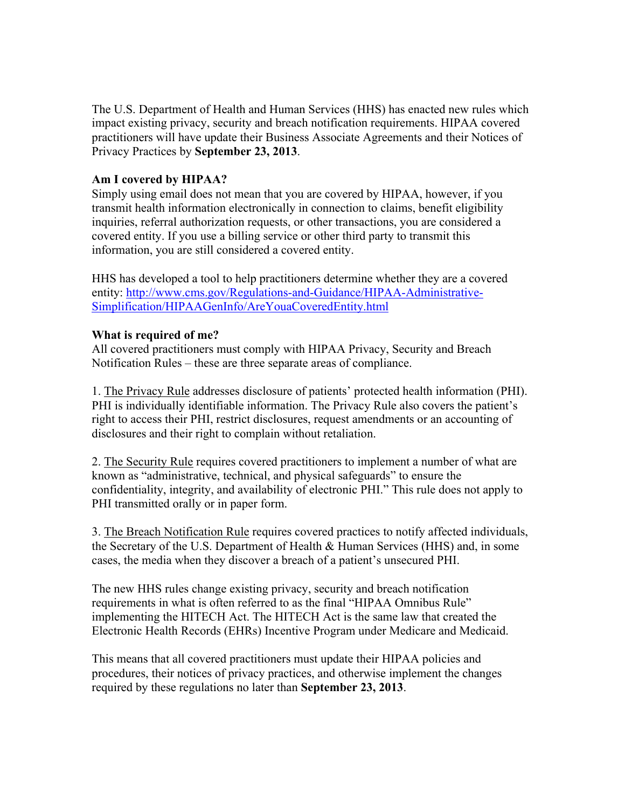The U.S. Department of Health and Human Services (HHS) has enacted new rules which impact existing privacy, security and breach notification requirements. HIPAA covered practitioners will have update their Business Associate Agreements and their Notices of Privacy Practices by **September 23, 2013**.

## **Am I covered by HIPAA?**

Simply using email does not mean that you are covered by HIPAA, however, if you transmit health information electronically in connection to claims, benefit eligibility inquiries, referral authorization requests, or other transactions, you are considered a covered entity. If you use a billing service or other third party to transmit this information, you are still considered a covered entity.

HHS has developed a tool to help practitioners determine whether they are a covered entity: http://www.cms.gov/Regulations-and-Guidance/HIPAA-Administrative-Simplification/HIPAAGenInfo/AreYouaCoveredEntity.html

#### **What is required of me?**

All covered practitioners must comply with HIPAA Privacy, Security and Breach Notification Rules – these are three separate areas of compliance.

1. The Privacy Rule addresses disclosure of patients' protected health information (PHI). PHI is individually identifiable information. The Privacy Rule also covers the patient's right to access their PHI, restrict disclosures, request amendments or an accounting of disclosures and their right to complain without retaliation.

2. The Security Rule requires covered practitioners to implement a number of what are known as "administrative, technical, and physical safeguards" to ensure the confidentiality, integrity, and availability of electronic PHI." This rule does not apply to PHI transmitted orally or in paper form.

3. The Breach Notification Rule requires covered practices to notify affected individuals, the Secretary of the U.S. Department of Health & Human Services (HHS) and, in some cases, the media when they discover a breach of a patient's unsecured PHI.

The new HHS rules change existing privacy, security and breach notification requirements in what is often referred to as the final "HIPAA Omnibus Rule" implementing the HITECH Act. The HITECH Act is the same law that created the Electronic Health Records (EHRs) Incentive Program under Medicare and Medicaid.

This means that all covered practitioners must update their HIPAA policies and procedures, their notices of privacy practices, and otherwise implement the changes required by these regulations no later than **September 23, 2013**.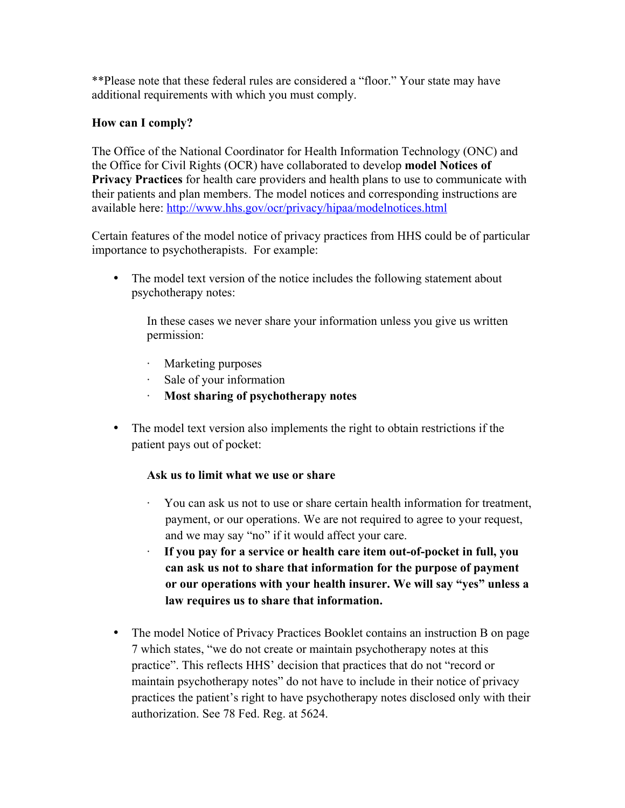\*\*Please note that these federal rules are considered a "floor." Your state may have additional requirements with which you must comply.

# **How can I comply?**

The Office of the National Coordinator for Health Information Technology (ONC) and the Office for Civil Rights (OCR) have collaborated to develop **model Notices of Privacy Practices** for health care providers and health plans to use to communicate with their patients and plan members. The model notices and corresponding instructions are available here: http://www.hhs.gov/ocr/privacy/hipaa/modelnotices.html

Certain features of the model notice of privacy practices from HHS could be of particular importance to psychotherapists. For example:

The model text version of the notice includes the following statement about psychotherapy notes:

In these cases we never share your information unless you give us written permission:

- · Marketing purposes
- · Sale of your information
- · **Most sharing of psychotherapy notes**
- The model text version also implements the right to obtain restrictions if the patient pays out of pocket:

## **Ask us to limit what we use or share**

- · You can ask us not to use or share certain health information for treatment, payment, or our operations. We are not required to agree to your request, and we may say "no" if it would affect your care.
- · **If you pay for a service or health care item out-of-pocket in full, you can ask us not to share that information for the purpose of payment or our operations with your health insurer. We will say "yes" unless a law requires us to share that information.**
- The model Notice of Privacy Practices Booklet contains an instruction B on page 7 which states, "we do not create or maintain psychotherapy notes at this practice". This reflects HHS' decision that practices that do not "record or maintain psychotherapy notes" do not have to include in their notice of privacy practices the patient's right to have psychotherapy notes disclosed only with their authorization. See 78 Fed. Reg. at 5624.